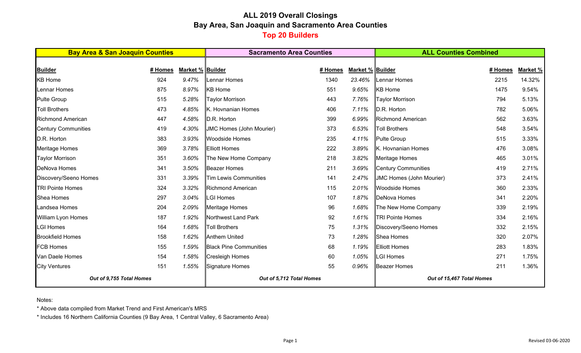# **ALL 2019 Overall Closings Bay Area, San Joaquin and Sacramento Area Counties Top 20 Builders**

| <b>Bay Area &amp; San Joaquin Counties</b> |         |                  | <b>Sacramento Area Counties</b> |         | <b>ALL Counties Combined</b> |                                 |         |          |  |
|--------------------------------------------|---------|------------------|---------------------------------|---------|------------------------------|---------------------------------|---------|----------|--|
|                                            |         |                  |                                 |         |                              |                                 |         |          |  |
| <b>Builder</b>                             | # Homes | Market % Builder |                                 | # Homes | Market % Builder             |                                 | # Homes | Market % |  |
| <b>KB Home</b>                             | 924     | 9.47%            | Lennar Homes                    | 1340    | 23.46%                       | Lennar Homes                    | 2215    | 14.32%   |  |
| Lennar Homes                               | 875     | 8.97%            | <b>KB</b> Home                  | 551     | 9.65%                        | <b>KB</b> Home                  | 1475    | 9.54%    |  |
| <b>Pulte Group</b>                         | 515     | 5.28%            | <b>Taylor Morrison</b>          | 443     | 7.76%                        | <b>Taylor Morrison</b>          | 794     | 5.13%    |  |
| <b>Toll Brothers</b>                       | 473     | 4.85%            | K. Hovnanian Homes              | 406     | 7.11%                        | D.R. Horton                     | 782     | 5.06%    |  |
| <b>Richmond American</b>                   | 447     | 4.58%            | D.R. Horton                     | 399     | 6.99%                        | <b>Richmond American</b>        | 562     | 3.63%    |  |
| <b>Century Communities</b>                 | 419     | 4.30%            | JMC Homes (John Mourier)        | 373     | 6.53%                        | Toll Brothers                   | 548     | 3.54%    |  |
| D.R. Horton                                | 383     | 3.93%            | <b>Woodside Homes</b>           | 235     | 4.11%                        | <b>Pulte Group</b>              | 515     | 3.33%    |  |
| <b>Meritage Homes</b>                      | 369     | 3.78%            | <b>Elliott Homes</b>            | 222     | 3.89%                        | K. Hovnanian Homes              | 476     | 3.08%    |  |
| <b>Taylor Morrison</b>                     | 351     | 3.60%            | The New Home Company            | 218     | 3.82%                        | Meritage Homes                  | 465     | 3.01%    |  |
| <b>DeNova Homes</b>                        | 341     | 3.50%            | <b>Beazer Homes</b>             | 211     | 3.69%                        | <b>Century Communities</b>      | 419     | 2.71%    |  |
| Discovery/Seeno Homes                      | 331     | 3.39%            | <b>Tim Lewis Communities</b>    | 141     | 2.47%                        | <b>JMC Homes (John Mourier)</b> | 373     | 2.41%    |  |
| <b>TRI Pointe Homes</b>                    | 324     | 3.32%            | Richmond American               | 115     | 2.01%                        | <b>Woodside Homes</b>           | 360     | 2.33%    |  |
| <b>Shea Homes</b>                          | 297     | 3.04%            | <b>LGI Homes</b>                | 107     | 1.87%                        | <b>DeNova Homes</b>             | 341     | 2.20%    |  |
| Landsea Homes                              | 204     | 2.09%            | Meritage Homes                  | 96      | 1.68%                        | The New Home Company            | 339     | 2.19%    |  |
| William Lyon Homes                         | 187     | 1.92%            | Northwest Land Park             | 92      | 1.61%                        | <b>TRI Pointe Homes</b>         | 334     | 2.16%    |  |
| <b>LGI Homes</b>                           | 164     | 1.68%            | <b>Toll Brothers</b>            | 75      | 1.31%                        | Discovery/Seeno Homes           | 332     | 2.15%    |  |
| <b>Brookfield Homes</b>                    | 158     | 1.62%            | Anthem United                   | 73      | 1.28%                        | Shea Homes                      | 320     | 2.07%    |  |
| <b>FCB Homes</b>                           | 155     | 1.59%            | <b>Black Pine Communities</b>   | 68      | 1.19%                        | <b>Elliott Homes</b>            | 283     | 1.83%    |  |
| Van Daele Homes                            | 154     | 1.58%            | <b>Cresleigh Homes</b>          | 60      | 1.05%                        | <b>LGI Homes</b>                | 271     | 1.75%    |  |
| <b>City Ventures</b>                       | 151     | 1.55%            | Signature Homes                 | 55      | 0.96%                        | <b>Beazer Homes</b>             | 211     | 1.36%    |  |
| Out of 9,755 Total Homes                   |         |                  | Out of 5,712 Total Homes        |         |                              | Out of 15,467 Total Homes       |         |          |  |

Notes:

\* Above data compiled from Market Trend and First American's MRS

\* Includes 16 Northern California Counties (9 Bay Area, 1 Central Valley, 6 Sacramento Area)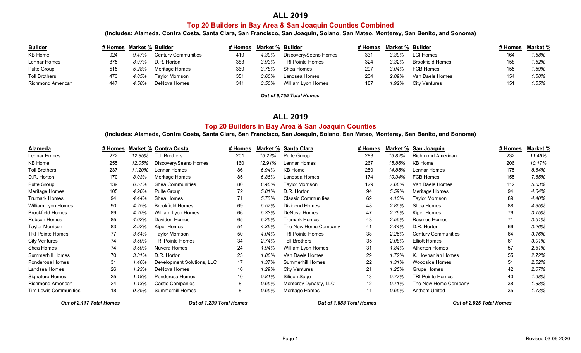### **ALL 2019**

### **Top 20 Builders in Bay Area & San Joaquin Counties Combined**

**(Includes: Alameda, Contra Costa, Santa Clara, San Francisco, San Joaquin, Solano, San Mateo, Monterey, San Benito, and Sonoma)**

| <b>Builder</b>       | # Homes Market % Builder |       |                            | # Homes | Market % Builder |                         | # Homes | Market % Builder |                         | # Homes | Market % |
|----------------------|--------------------------|-------|----------------------------|---------|------------------|-------------------------|---------|------------------|-------------------------|---------|----------|
| KB Home              | 924                      | 9.47% | <b>Century Communities</b> | 419     | 4.30%            | Discovery/Seeno Homes   | 331     | 3.39%            | <b>LGI Homes</b>        |         | 1.68%    |
| Lennar Homes         | 875                      | 8.97% | D.R. Horton                | 383     | 3.93%            | <b>TRI Pointe Homes</b> | 324     | 3.32%            | <b>Brookfield Homes</b> |         | 1.62%    |
| Pulte Group          | 515                      | .28%  | Meritage Homes             | 369     | 3.78%            | Shea Homes              | 297     | 3.04%            | FCB Homes               |         | 1.59%    |
| <b>Toll Brothers</b> | 473                      | 4.85% | <b>Tavlor Morrison</b>     | 351     | 3.60%            | Landsea Homes           | 204     | 2.09%            | Van Daele Homes         |         | 1.58%    |
| Richmond American    | 447                      | 4.58% | DeNova Homes               | 341     | 3.50%            | William Lyon Homes      | 187     | $1.92\%$         | City Ventures           |         | '.55%    |

*Out of 9,755 Total Homes*

#### **ALL 2019**

### **Top 20 Builders in Bay Area & San Joaquin Counties**

**(Includes: Alameda, Contra Costa, Santa Clara, San Francisco, San Joaquin, Solano, San Mateo, Monterey, San Benito, and Sonoma)**

| Alameda                      | # Homes |        | <b>Market % Contra Costa</b> | # Homes | Market % | Santa Clara                | # Homes           | Market % | San Joaquin                | # Homes | Market % |
|------------------------------|---------|--------|------------------------------|---------|----------|----------------------------|-------------------|----------|----------------------------|---------|----------|
| Lennar Homes                 | 272     | 12.85% | <b>Toll Brothers</b>         | 201     | 16.22%   | Pulte Group                | 283               | 16.82%   | <b>Richmond American</b>   | 232     | 11.46%   |
| <b>KB Home</b>               | 255     | 12.05% | Discovery/Seeno Homes        | 160     | 12.91%   | Lennar Homes               | 267               | 15.86%   | KB Home                    | 206     | 10.17%   |
| <b>Toll Brothers</b>         | 237     | 11.20% | Lennar Homes                 | 86      | 6.94%    | <b>KB Home</b>             | 250               | 14.85%   | Lennar Homes               | 175     | 8.64%    |
| D.R. Horton                  | 170     | 8.03%  | Meritage Homes               | 85      | 6.86%    | Landsea Homes              | 174               | 10.34%   | <b>FCB Homes</b>           | 155     | 7.65%    |
| <b>Pulte Group</b>           | 139     | 6.57%  | <b>Shea Communities</b>      | 80      | 6.46%    | <b>Taylor Morrison</b>     | 129               | 7.66%    | Van Daele Homes            | 112     | 5.53%    |
| Meritage Homes               | 105     | 4.96%  | Pulte Group                  | 72      | 5.81%    | D.R. Horton                | 94                | 5.59%    | <b>Meritage Homes</b>      | 94      | 4.64%    |
| <b>Trumark Homes</b>         | 94      | 4.44%  | Shea Homes                   | 71      | 5.73%    | <b>Classic Communities</b> | 69                | 4.10%    | <b>Taylor Morrison</b>     | 89      | 4.40%    |
| William Lyon Homes           | 90      | 4.25%  | <b>Brookfield Homes</b>      | 69      | 5.57%    | Dividend Homes             | 48                | 2.85%    | Shea Homes                 | 88      | 4.35%    |
| <b>Brookfield Homes</b>      | 89      | 4.20%  | William Lyon Homes           | 66      | 5.33%    | DeNova Homes               | 47                | 2.79%    | Kiper Homes                | 76      | 3.75%    |
| Robson Homes                 | 85      | 4.02%  | Davidon Homes                | 65      | 5.25%    | <b>Trumark Homes</b>       | 43                | 2.55%    | Raymus Homes               | 71      | 3.51%    |
| <b>Taylor Morrison</b>       | 83      | 3.92%  | Kiper Homes                  | 54      | 4.36%    | The New Home Company       | 41                | 2.44%    | D.R. Horton                | 66      | 3.26%    |
| <b>TRI Pointe Homes</b>      | 77      | 3.64%  | Taylor Morrison              | 50      | 4.04%    | <b>TRI Pointe Homes</b>    | 38                | 2.26%    | <b>Century Communities</b> | 64      | 3.16%    |
| <b>City Ventures</b>         | 74      | 3.50%  | <b>TRI Pointe Homes</b>      | 34      | 2.74%    | <b>Toll Brothers</b>       | 35                | 2.08%    | <b>Elliott Homes</b>       | 61      | 3.01%    |
| Shea Homes                   | 74      | 3.50%  | Nuvera Homes                 | 24      | 1.94%    | William Lyon Homes         | 31                | 1.84%    | Atherton Homes             | 57      | 2.81%    |
| <b>Summerhill Homes</b>      | 70      | 3.31%  | D.R. Horton                  | 23      | 1.86%    | Van Daele Homes            | 29                | 1.72%    | K. Hovnanian Homes         | 55      | 2.72%    |
| Ponderosa Homes              | 31      | 1.46%  | Development Solutions, LLC   | 17      | 1.37%    | <b>Summerhill Homes</b>    | 22                | 1.31%    | <b>Woodside Homes</b>      | 51      | 2.52%    |
| Landsea Homes                | 26      | 1.23%  | DeNova Homes                 | 16      | 1.29%    | <b>City Ventures</b>       | 21                | 1.25%    | Grupe Homes                | 42      | 2.07%    |
| Signature Homes              | 25      | 1.18%  | Ponderosa Homes              | 10      | 0.81%    | Silicon Sage               | 13                | 0.77%    | <b>TRI Pointe Homes</b>    | 40      | 1.98%    |
| <b>Richmond American</b>     | 24      | 1.13%  | Castle Companies             | 8       | 0.65%    | Monterey Dynasty, LLC      | $12 \overline{ }$ | 0.71%    | The New Home Company       | 38      | 1.88%    |
| <b>Tim Lewis Communities</b> | 18      | 0.85%  | <b>Summerhill Homes</b>      | 8       | 0.65%    | Meritage Homes             | 11                | 0.65%    | Anthem United              | 35      | 1.73%    |

*Out of 2,117 Total Homes Out of 1,239 Total Homes Out of 1,683 Total Homes Out of 2,025 Total Homes*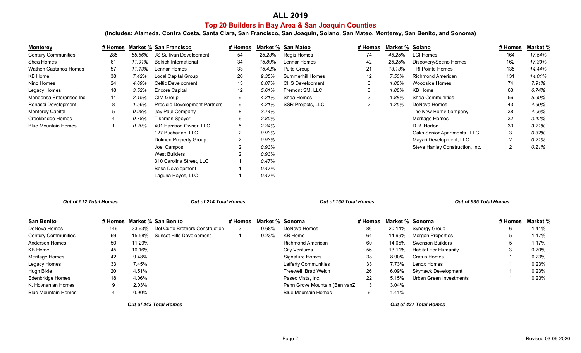# **ALL 2019 Top 20 Builders in Bay Area & San Joaquin Counties**

**(Includes: Alameda, Contra Costa, Santa Clara, San Francisco, San Joaquin, Solano, San Mateo, Monterey, San Benito, and Sonoma)**

| <b>Monterey</b>              | # Homes |        | <b>Market % San Francisco</b>        | # Homes        | Market % | San Mateo               | # Homes        | Market % | Solano                          | # Homes        | Market % |
|------------------------------|---------|--------|--------------------------------------|----------------|----------|-------------------------|----------------|----------|---------------------------------|----------------|----------|
| <b>Century Communities</b>   | 285     | 55.66% | JS Sullivan Development              | 54             | 25.23%   | Regis Homes             | 74             | 46.25%   | <b>LGI Homes</b>                | 164            | 17.54%   |
| Shea Homes                   | 61      | 11.91% | Belrich International                | 34             | 15.89%   | Lennar Homes            | 42             | 26.25%   | Discovery/Seeno Homes           | 162            | 17.33%   |
| <b>Wathen Castanos Homes</b> | 57      | 11.13% | Lennar Homes                         | 33             | 15.42%   | Pulte Group             | 21             | 13.13%   | <b>TRI Pointe Homes</b>         | 135            | 14.44%   |
| KB Home                      | 38      | 7.42%  | Local Capital Group                  | 20             | 9.35%    | <b>Summerhill Homes</b> | 12             | 7.50%    | <b>Richmond American</b>        | 131            | 14.01%   |
| Nino Homes                   | 24      | 4.69%  | Celtic Development                   | 13             | 6.07%    | <b>CHS Development</b>  | 3              | 1.88%    | <b>Woodside Homes</b>           | 74             | 7.91%    |
| Legacy Homes                 | 18      | 3.52%  | <b>Encore Capital</b>                | 12             | 5.61%    | Fremont SM, LLC         | 3              | 1.88%    | KB Home                         | 63             | 6.74%    |
| Mendonsa Enterprises Inc.    | 11      | 2.15%  | CIM Group                            | 9              | 4.21%    | Shea Homes              | 3              | 1.88%    | <b>Shea Communities</b>         | 56             | 5.99%    |
| Renasci Development          | 8       | 1.56%  | <b>Presidio Development Partners</b> | 9              | 4.21%    | SSR Projects, LLC       | $\overline{2}$ | 1.25%    | DeNova Homes                    | 43             | 4.60%    |
| <b>Monterey Capital</b>      | 5       | 0.98%  | Jay Paul Company                     | 8              | 3.74%    |                         |                |          | The New Home Company            | 38             | 4.06%    |
| Creekbridge Homes            | 4       | 0.78%  | <b>Tishman Speyer</b>                | 6              | 2.80%    |                         |                |          | Meritage Homes                  | 32             | 3.42%    |
| <b>Blue Mountain Homes</b>   |         | 0.20%  | 401 Harrison Owner, LLC              | 5              | 2.34%    |                         |                |          | D.R. Horton                     | 30             | 3.21%    |
|                              |         |        | 127 Buchanan, LLC                    | $\overline{2}$ | 0.93%    |                         |                |          | Oaks Senior Apartments, LLC     | 3              | 0.32%    |
|                              |         |        | Dolmen Property Group                | $\overline{2}$ | 0.93%    |                         |                |          | Mayari Development, LLC         |                | 0.21%    |
|                              |         |        | Joel Campos                          | 2              | 0.93%    |                         |                |          | Steve Hanley Construction, Inc. | $\overline{2}$ | 0.21%    |
|                              |         |        | <b>West Builders</b>                 | 2              | 0.93%    |                         |                |          |                                 |                |          |
|                              |         |        | 310 Carolina Street, LLC             |                | 0.47%    |                         |                |          |                                 |                |          |
|                              |         |        | Bosa Development                     |                | 0.47%    |                         |                |          |                                 |                |          |
|                              |         |        | Laguna Hayes, LLC                    |                | 0.47%    |                         |                |          |                                 |                |          |

*Out of 512 Total Homes*

*Out of 214 Total Homes Out of 160 Total Homes Out of 935 Total Homes*

| San Benito                 |     |          | # Homes Market % San Benito     | # Homes | Market % Sonoma |                               | # Homes | Market % Sonoma |                         | # Homes | <u>Market %</u> |
|----------------------------|-----|----------|---------------------------------|---------|-----------------|-------------------------------|---------|-----------------|-------------------------|---------|-----------------|
| DeNova Homes               | 149 | 33.63%   | Del Curto Brothers Construction |         | 0.68%           | DeNova Homes                  | 86      | 20.14%          | Synergy Group           |         | 1.41%           |
| <b>Century Communities</b> | 69  | 15.58%   | Sunset Hills Development        |         | 0.23%           | KB Home                       | 64      | 14.99%          | Morgan Properties       |         | 1.17%           |
| Anderson Homes             | 50  | 11.29%   |                                 |         |                 | Richmond American             | 60      | 14.05%          | <b>Swenson Builders</b> |         | 1.17%           |
| KB Home                    | 45  | 10.16%   |                                 |         |                 | <b>City Ventures</b>          | 56      | 13.11%          | Habitat For Humanity    |         | 0.70%           |
| Meritage Homes             | 42  | 9.48%    |                                 |         |                 | Signature Homes               | 38      | 8.90%           | Cratus Homes            |         | 0.23%           |
| Legacy Homes               | 33  | 7.45%    |                                 |         |                 | <b>Lafferty Communities</b>   | 33      | 7.73%           | Lenox Homes             |         | 0.23%           |
| Hugh Bikle                 | 20  | 4.51%    |                                 |         |                 | Treewell, Brad Welch          | 26      | 6.09%           | Skyhawk Development     |         | 0.23%           |
| Edenbridge Homes           | 18  | 4.06%    |                                 |         |                 | Paseo Vista, Inc.             | 22      | 5.15%           | Urban Green Investments |         | 0.23%           |
| K. Hovnanian Homes         |     | 2.03%    |                                 |         |                 | Penn Grove Mountain (Ben vanZ | 13      | 3.04%           |                         |         |                 |
| Blue Mountain Homes        |     | $0.90\%$ |                                 |         |                 | <b>Blue Mountain Homes</b>    | 6       | 1.41%           |                         |         |                 |

*Out of 443 Total Homes*

*Out of 427 Total Homes*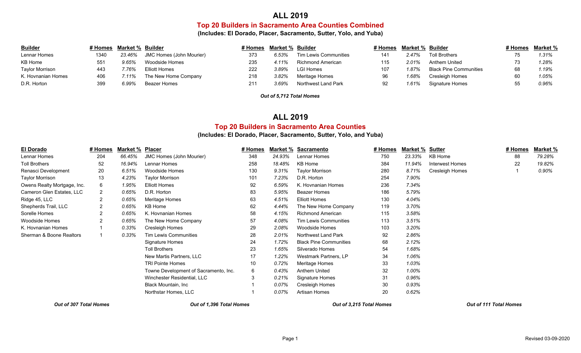# **ALL 2019**

### **Top 20 Builders in Sacramento Area Counties Combined**

**(Includes: El Dorado, Placer, Sacramento, Sutter, Yolo, and Yuba)**

| <b>Builder</b>         |      | # Homes Market % Builder |                          | # Homes | Market % Builder |                       | # Homes | Market % Builder |                               | # Homes Market % |
|------------------------|------|--------------------------|--------------------------|---------|------------------|-----------------------|---------|------------------|-------------------------------|------------------|
| Lennar Homes           | 1340 | 23.46%                   | JMC Homes (John Mourier) | 373     | 6.53%            | Tim Lewis Communities | 141     | 2.47%            | <b>Toll Brothers</b>          | 1.31%            |
| KB Home                |      | 9.65%                    | Woodside Homes           | 235     | 4.11%            | Richmond American     | 115     | 2.01%            | Anthem United                 | 1.28%            |
| <b>Taylor Morrison</b> | 443  | 76%:                     | Elliott Homes            | 222     | $3.89\%$         | LGI Homes             | 107     | $.87\%$          | <b>Black Pine Communities</b> | 1.19%            |
| K. Hovnanian Homes     | 406  | $.11\%$                  | The New Home Company     | 218     | 3.82%            | Meritage Homes        | 96      | .68%             | Cresleigh Homes               | 1.05%            |
| D.R. Horton            | 399  | 6.99%                    | Beazer Homes             | 211     | 3.69%            | Northwest Land Park   | 92      | .61%             | Signature Homes               | 0.96%            |

*Out of 5,712 Total Homes*

# **ALL 2019**

### **Top 20 Builders in Sacramento Area Counties**

#### **(Includes: El Dorado, Placer, Sacramento, Sutter, Yolo, and Yuba)**

| El Dorado                   | # Homes        | Market % | <b>Placer</b>                         | # Homes | Market % | <b>Sacramento</b>             | # Homes | Market % | <u>Sutter</u>          | # Homes | Market % |
|-----------------------------|----------------|----------|---------------------------------------|---------|----------|-------------------------------|---------|----------|------------------------|---------|----------|
| Lennar Homes                | 204            | 66.45%   | JMC Homes (John Mourier)              | 348     | 24.93%   | Lennar Homes                  | 750     | 23.33%   | KB Home                | 88      | 79.28%   |
| <b>Toll Brothers</b>        | 52             | 16.94%   | Lennar Homes                          | 258     | 18.48%   | KB Home                       | 384     | 11.94%   | <b>Interwest Homes</b> | 22      | 19.82%   |
| Renasci Development         | 20             | 6.51%    | Woodside Homes                        | 130     | $9.31\%$ | <b>Taylor Morrison</b>        | 280     | 8.71%    | Cresleigh Homes        |         | 0.90%    |
| <b>Taylor Morrison</b>      | 13             | 4.23%    | <b>Taylor Morrison</b>                | 101     | 7.23%    | D.R. Horton                   | 254     | 7.90%    |                        |         |          |
| Owens Realty Mortgage, Inc. | 6              | 1.95%    | <b>Elliott Homes</b>                  | 92      | 6.59%    | K. Hovnanian Homes            | 236     | 7.34%    |                        |         |          |
| Cameron Glen Estates, LLC   |                | 0.65%    | D.R. Horton                           | 83      | 5.95%    | <b>Beazer Homes</b>           | 186     | 5.79%    |                        |         |          |
| Ridge 45, LLC               | $\overline{2}$ | 0.65%    | Meritage Homes                        | 63      | 4.51%    | Elliott Homes                 | 130     | 4.04%    |                        |         |          |
| Shepherds Trail, LLC        |                | 0.65%    | KB Home                               | 62      | 4.44%    | The New Home Company          | 119     | 3.70%    |                        |         |          |
| Sorelle Homes               | $\overline{2}$ | 0.65%    | K. Hovnanian Homes                    | 58      | 4.15%    | <b>Richmond American</b>      | 115     | 3.58%    |                        |         |          |
| <b>Woodside Homes</b>       | 2              | 0.65%    | The New Home Company                  | 57      | 4.08%    | Tim Lewis Communities         | 113     | 3.51%    |                        |         |          |
| K. Hovnanian Homes          |                | 0.33%    | Cresleigh Homes                       | 29      | 2.08%    | <b>Woodside Homes</b>         | 103     | 3.20%    |                        |         |          |
| Sherman & Boone Realtors    |                | 0.33%    | <b>Tim Lewis Communities</b>          | 28      | 2.01%    | Northwest Land Park           | 92      | 2.86%    |                        |         |          |
|                             |                |          | Signature Homes                       | 24      | 1.72%    | <b>Black Pine Communities</b> | 68      | 2.12%    |                        |         |          |
|                             |                |          | <b>Toll Brothers</b>                  | 23      | 1.65%    | Silverado Homes               | 54      | 1.68%    |                        |         |          |
|                             |                |          | New Martis Partners, LLC              | 17      | 1.22%    | Westmark Partners, LP         | 34      | 1.06%    |                        |         |          |
|                             |                |          | <b>TRI Pointe Homes</b>               | 10      | 0.72%    | Meritage Homes                | 33      | 1.03%    |                        |         |          |
|                             |                |          | Towne Development of Sacramento, Inc. | 6       | 0.43%    | Anthem United                 | 32      | 1.00%    |                        |         |          |
|                             |                |          | Winchester Residential, LLC           | 3       | 0.21%    | Signature Homes               | 31      | 0.96%    |                        |         |          |
|                             |                |          | Black Mountain, Inc.                  |         | 0.07%    | Cresleigh Homes               | 30      | 0.93%    |                        |         |          |
|                             |                |          | Northstar Homes, LLC                  |         | 0.07%    | Artisan Homes                 | 20      | 0.62%    |                        |         |          |
|                             |                |          |                                       |         |          |                               |         |          |                        |         |          |

*Out of 307 Total Homes Out of 1,396 Total Homes Out of 3,215 Total Homes Out of 111 Total Homes*